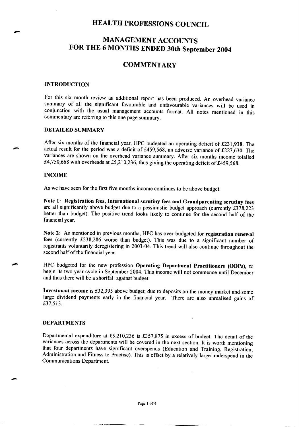# **MANAGEMENT ACCOUNTS** FOR THE 6 MONTHS ENDED 30th September 2004

#### **COMMENTARY**

#### **INTRODUCTION**

For this six month review an additional report has been produced. An overhead variance summary of all the significant favourable and unfavourable variances will be used in conjunction with the usual management accounts format. All notes mentioned in this commentary are referring to this one page summary.

#### **DETAILED SUMMARY**

After six months of the financial year, HPC budgeted an operating deficit of £231,938. The actual result for the period was a deficit of £459,568, an adverse variance of £227,630. The variances are shown on the overhead variance summary. After six months income totalled £4,750,668 with overheads at £5,210,236, thus giving the operating deficit of £459,568.

#### **INCOME**

As we have seen for the first five months income continues to be above budget.

Note 1: Registration fees, International scrutiny fees and Grandparenting scrutiny fees are all significantly above budget due to a pessimistic budget approach (currently £378,223 better than budget). The positive trend looks likely to continue for the second half of the financial year.

Note 2: As mentioned in previous months, HPC has over-budgeted for registration renewal fees (currently £238,286 worse than budget). This was due to a significant number of registrants voluntarily deregistering in 2003-04. This trend will also continue throughout the second half of the financial year.

HPC budgeted for the new profession Operating Department Practitioners (ODPs), to begin its two year cycle in September 2004. This income will not commence until December and thus there will be a shortfall against budget.

Investment income is £32,395 above budget, due to deposits on the money market and some large dividend payments early in the financial year. There are also unrealised gains of £37,513.

#### **DEPARTMENTS**

Departmental expenditure at £5,210,236 is £357,875 in excess of budget. The detail of the variances across the departments will be covered in the next section. It is worth mentioning that four departments have significant overspends (Education and Training, Registration, Administration and Fitness to Practise). This is offset by a relatively large underspend in the **Communications Department.**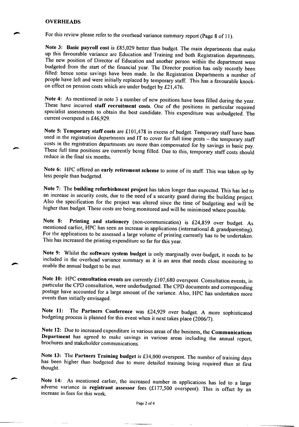#### **OVERHEADS**

For this review please refer to the overhead variance summary report (Page 8 of 11).

Note 3: Basic payroll cost is £85,029 better than budget. The main departments that make up this favourable variance are Education and Training and both Registration departments. The new position of Director of Education and another person within the department were budgeted from the start of the financial year. The Director position has only recently been filled: hence some savings have been made. In the Registration Departments a number of people have left and were initially replaced by temporary staff. This has a favourable knockon effect on pension costs which are under budget by £21,476.

Note 4: As mentioned in note 3 a number of new positions have been filled during the year. These have incurred staff recruitment costs. One of the positions in particular required specialist assessments to obtain the best candidate. This expenditure was unbudgeted. The current overspend is £46,929.

Note 5: Temporary staff costs are £101,478 in excess of budget. Temporary staff have been used in the registration departments and IT to cover for full time posts - the temporary staff costs in the registration departments are more than compensated for by savings in basic pay. These full time positions are currently being filled. Due to this, temporary staff costs should reduce in the final six months.

Note 6: HPC offered an early retirement scheme to some of its staff. This was taken up by less people than budgeted.

Note 7: The building refurbishment project has taken longer than expected. This has led to an increase in security costs, due to the need of a security guard during the building project. Also the specification for the project was altered since the time of budgeting and will be higher than budget. These costs are being monitored and will be minimised where possible.

Printing and stationery (non-communication) is £24,859 over budget. As Note 8: mentioned earlier, HPC has seen an increase in applications (international & grandparenting). For the applications to be assessed a large volume of printing currently has to be undertaken. This has increased the printing expenditure so far for this year.

Note 9: Whilst the software system budget is only marginally over-budget, it needs to be included in the overhead variance summary as it is an area that needs close monitoring to enable the annual budget to be met.

Note 10: HPC consultation events are currently £107,680 overspent. Consultation events, in particular the CPD consultation, were underbudgeted. The CPD documents and corresponding postage have accounted for a large amount of the variance. Also, HPC has undertaken more events than initially envisaged.

Note 11: The Partners Conference was £24,929 over budget. A more sophisticated budgeting process is planned for this event when it next takes place (2006/7).

Note 12: Due to increased expenditure in various areas of the business, the Communications Department has agreed to make savings in various areas including the annual report, brochures and stakeholder communications.

Note 13: The Partners Training budget is £34,000 overspent. The number of training days has been higher than budgeted due to more detailed training being required than at first thought.

Note 14: As mentioned earlier, the increased number in applications has led to a large adverse variance in registrant assessor fees  $(£177,500$  overspent). This is offset by an increase in fees for this work.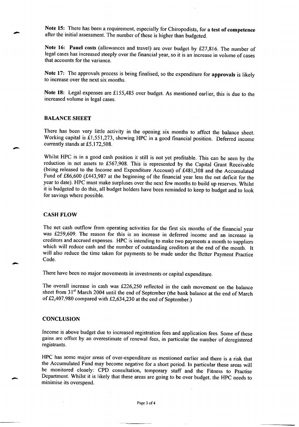Note 15: There has been a requirement, especially for Chiropodists, for a test of competence after the initial assessment. The number of these is higher than budgeted.

Note 16: Panel costs (allowances and travel) are over budget by £27,816. The number of legal cases has increased steeply over the financial year, so it is an increase in volume of cases that accounts for the variance.

Note 17: The approvals process is being finalised, so the expenditure for approvals is likely to increase over the next six months.

Note 18: Legal expenses are £155,485 over budget. As mentioned earlier, this is due to the increased volume in legal cases.

#### **BALANCE SHEET**

There has been very little activity in the opening six months to affect the balance sheet. Working capital is £1,551,273, showing HPC in a good financial position. Deferred income currently stands at £5,172,508.

Whilst HPC is in a good cash position it still is not yet profitable. This can be seen by the reduction in net assets to £567,908. This is represented by the Capital Grant Receivable (being released to the Income and Expenditure Account) of £481,308 and the Accumulated Fund of £86,600 (£443,987 at the beginning of the financial year less the net deficit for the year to date). HPC must make surpluses over the next few months to build up reserves. Whilst it is budgeted to do this, all budget holders have been reminded to keep to budget and to look for savings where possible.

#### **CASH FLOW**

The net cash outflow from operating activities for the first six months of the financial year was £259,609. The reason for this is an increase in deferred income and an increase in creditors and accrued expenses. HPC is intending to make two payments a month to suppliers which will reduce cash and the number of outstanding creditors at the end of the month. It will also reduce the time taken for payments to be made under the Better Payment Practice Code.

There have been no major movements in investments or capital expenditure.

The overall increase in cash was £226,250 reflected in the cash movement on the balance sheet from 31<sup>st</sup> March 2004 until the end of September (the bank balance at the end of March of £2,407,980 compared with £2,634,230 at the end of September.)

#### **CONCLUSION**

Income is above budget due to increased registration fees and application fees. Some of these gains are offset by an overestimate of renewal fees, in particular the number of deregistered registrants.

HPC has some major areas of over-expenditure as mentioned earlier and there is a risk that the Accumulated Fund may become negative for a short period. In particular these areas will be monitored closely: CPD consultation, temporary staff and the Fitness to Practise Department. Whilst it is likely that these areas are going to be over budget, the HPC needs to minimise its overspend.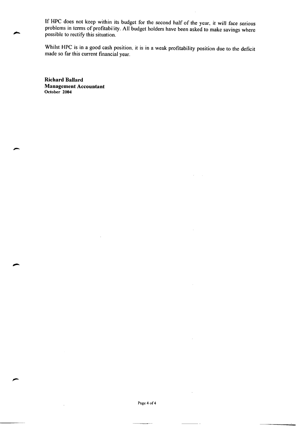If HPC does not keep within its budget for the second half of the year, it will face serious problems in terms of profitability. All budget holders have been asked to make savings where possible to rectify this situation.

Whilst HPC is in a good cash position, it is in a weak profitability position due to the deficit made so far this current financial year.

**Richard Ballard Management Accountant** October 2004

Page 4 of 4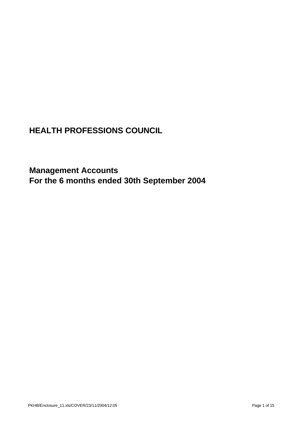**Management Accounts For the 6 months ended 30th September 2004**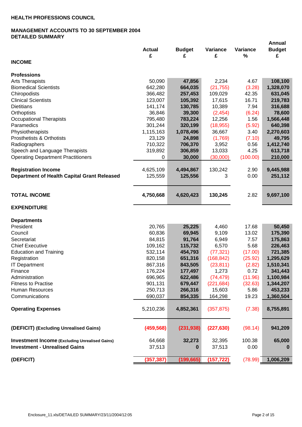## **MANAGEMENT ACCOUNTS TO 30 SEPTEMBER 2004 DETAILED SUMMARY**

|                                                       |               |               |               |                  | <b>Annual</b> |
|-------------------------------------------------------|---------------|---------------|---------------|------------------|---------------|
|                                                       | <b>Actual</b> | <b>Budget</b> | Variance<br>£ | Variance<br>$\%$ | <b>Budget</b> |
| <b>INCOME</b>                                         | £             | £             |               |                  | £             |
|                                                       |               |               |               |                  |               |
| <b>Professions</b>                                    |               |               |               |                  |               |
| <b>Arts Therapists</b>                                | 50,090        | 47,856        | 2,234         | 4.67             | 108,100       |
| <b>Biomedical Scientists</b>                          | 642,280       | 664,035       | (21, 755)     | (3.28)           | 1,328,070     |
| Chiropodists                                          | 366,482       | 257,453       | 109,029       | 42.35            | 631,045       |
| <b>Clinical Scientists</b>                            | 123,007       | 105,392       | 17,615        | 16.71            | 219,783       |
| <b>Dietitians</b>                                     | 141,174       | 130,785       | 10,389        | 7.94             | 316,688       |
| Orthoptists                                           | 36,846        | 39,300        | (2, 454)      | (6.24)           | 78,600        |
| <b>Occupational Therapists</b>                        | 795,480       | 783,224       | 12,256        | 1.56             | 1,566,448     |
| Paramedics                                            | 301,244       | 320,199       | (18, 955)     | (5.92)           | 640,398       |
| Physiotherapists                                      | 1,115,163     | 1,078,496     | 36,667        | 3.40             | 2,270,603     |
| <b>Prosthetists &amp; Orthotists</b>                  | 23,129        | 24,898        | (1,769)       | (7.10)           | 49,795        |
| Radiographers                                         | 710,322       | 706,370       | 3,952         | 0.56             | 1,412,740     |
|                                                       |               |               | 13,033        | 4.25             | 613,718       |
| Speech and Language Therapists                        | 319,892       | 306,859       |               |                  |               |
| <b>Operating Department Practitioners</b>             | 0             | 30,000        | (30,000)      | (100.00)         | 210,000       |
|                                                       |               |               |               |                  |               |
| <b>Registration Income</b>                            | 4,625,109     | 4,494,867     | 130,242       | 2.90             | 9,445,988     |
| <b>Department of Health Capital Grant Released</b>    | 125,559       | 125,556       | 3             | 0.00             | 251,112       |
|                                                       |               |               |               |                  |               |
| <b>TOTAL INCOME</b>                                   |               |               |               |                  |               |
|                                                       | 4,750,668     | 4,620,423     | 130,245       | 2.82             | 9,697,100     |
| <b>EXPENDITURE</b>                                    |               |               |               |                  |               |
|                                                       |               |               |               |                  |               |
| <b>Departments</b>                                    |               |               |               |                  |               |
| President                                             | 20,765        | 25,225        | 4,460         | 17.68            | 50,450        |
| Council                                               | 60,836        | 69,945        | 9,109         | 13.02            | 175,390       |
| Secretariat                                           | 84,815        | 91,764        | 6,949         | 7.57             | 175,863       |
| <b>Chief Executive</b>                                | 109,162       | 115,732       | 6,570         | 5.68             | 226,463       |
| <b>Education and Training</b>                         | 532,114       | 454,793       | (77, 321)     | (17.00)          | 721,385       |
| Registration                                          | 820,158       | 651,316       | (168, 842)    | (25.92)          | 1,295,629     |
| <b>IT Department</b>                                  | 867,316       | 843,505       | (23, 811)     | (2.82)           | 1,510,341     |
| Finance                                               | 176,224       | 177,497       | 1,273         | 0.72             | 341,443       |
| Administration                                        | 696,965       | 622,486       | (74, 479)     | (11.96)          | 1,100,984     |
| <b>Fitness to Practise</b>                            | 901,131       | 679,447       | (221, 684)    | (32.63)          | 1,344,207     |
| Human Resources                                       | 250,713       | 266,316       | 15,603        | 5.86             | 453,233       |
| Communications                                        | 690,037       | 854,335       | 164,298       | 19.23            | 1,360,504     |
|                                                       |               |               |               |                  |               |
| <b>Operating Expenses</b>                             | 5,210,236     | 4,852,361     | (357, 875)    | (7.38)           | 8,755,891     |
|                                                       |               |               |               |                  |               |
|                                                       |               |               |               |                  |               |
| (DEFICIT) (Excluding Unrealised Gains)                | (459, 568)    | (231, 938)    | (227, 630)    | (98.14)          | 941,209       |
|                                                       |               |               |               |                  |               |
| <b>Investment Income (Excluding Unrealised Gains)</b> | 64,668        | 32,273        | 32,395        | 100.38           | 65,000        |
| <b>Investment - Unrealised Gains</b>                  | 37,513        | 0             | 37,513        | 0.00             | $\bf{0}$      |
|                                                       |               |               |               |                  |               |
| (DEFICIT)                                             | (357, 387)    | (199, 665)    | (157, 722)    | (78.99)          | 1,006,209     |
|                                                       |               |               |               |                  |               |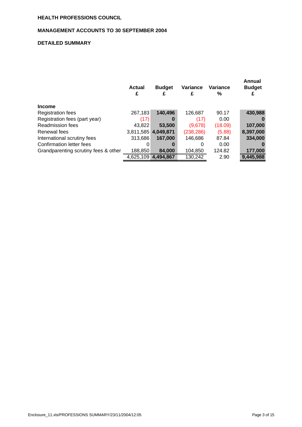#### **MANAGEMENT ACCOUNTS TO 30 SEPTEMBER 2004**

## **DETAILED SUMMARY**

|                                      | Actual<br>£ | <b>Budget</b><br>£  | Variance<br>£ | <b>Variance</b><br>% | Annual<br><b>Budget</b><br>£ |
|--------------------------------------|-------------|---------------------|---------------|----------------------|------------------------------|
| <b>Income</b>                        |             |                     |               |                      |                              |
| <b>Registration fees</b>             | 267,183     | 140,496             | 126,687       | 90.17                | 430,988                      |
| Registration fees (part year)        | (17)        | 0                   | (17)          | 0.00                 | 0                            |
| <b>Readmission fees</b>              | 43,822      | 53,500              | (9,678)       | (18.09)              | 107,000                      |
| Renewal fees                         |             | 3,811,585 4,049,871 | (238, 286)    | (5.88)               | 8,397,000                    |
| International scrutiny fees          | 313.686     | 167.000             | 146,686       | 87.84                | 334,000                      |
| Confirmation letter fees             | 0           | 0                   | 0             | 0.00                 | 0                            |
| Grandparenting scrutiny fees & other | 188,850     | 84.000              | 104,850       | 124.82               | 177,000                      |
|                                      | 4,625,109   | 4.494.867           | 130,242       | 2.90                 | 9,445,988                    |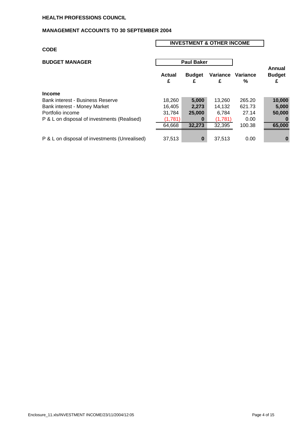## **MANAGEMENT ACCOUNTS TO 30 SEPTEMBER 2004**

#### **CODE**

## **INVESTMENT & OTHER INCOME**

| <b>BUDGET MANAGER</b>                         |                    | <b>Paul Baker</b>  |               |               |                              |
|-----------------------------------------------|--------------------|--------------------|---------------|---------------|------------------------------|
|                                               | <b>Actual</b><br>£ | <b>Budget</b><br>£ | Variance<br>£ | Variance<br>% | Annual<br><b>Budget</b><br>£ |
| <b>Income</b>                                 |                    |                    |               |               |                              |
| <b>Bank interest - Business Reserve</b>       | 18,260             | 5,000              | 13,260        | 265.20        | 10,000                       |
| Bank interest - Money Market                  | 16.405             | 2.273              | 14.132        | 621.73        | 5,000                        |
| Portfolio income                              | 31.784             | 25,000             | 6.784         | 27.14         | 50,000                       |
| P & L on disposal of investments (Realised)   | (1,781)            | 0                  | (1,781)       | 0.00          | 0                            |
|                                               | 64,668             | 32,273             | 32,395        | 100.38        | 65,000                       |
|                                               |                    |                    |               |               |                              |
| P & L on disposal of investments (Unrealised) | 37,513             | $\bf{0}$           | 37.513        | 0.00          | $\bf{0}$                     |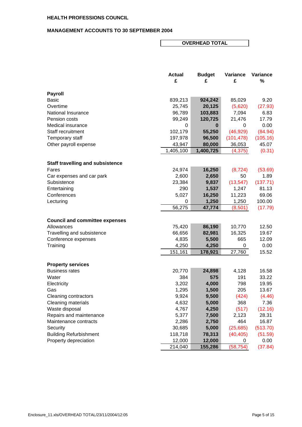### **MANAGEMENT ACCOUNTS TO 30 SEPTEMBER 2004**

## **OVERHEAD TOTAL**

|                                         | <b>Actual</b><br>£ | <b>Budget</b><br>£ | Variance<br>£ | Variance<br>$\%$ |
|-----------------------------------------|--------------------|--------------------|---------------|------------------|
| <b>Payroll</b>                          |                    |                    |               |                  |
| Basic                                   | 839,213            | 924,242            | 85,029        | 9.20             |
| Overtime                                | 25,745             | 20,125             | (5,620)       | (27.93)          |
| National Insurance                      | 96,789             | 103,883            | 7,094         | 6.83             |
| Pension costs                           | 99,249             | 120,725            | 21,476        | 17.79            |
| Medical insurance                       | 0                  | 0                  | 0             | 0.00             |
| Staff recruitment                       | 102,179            | 55,250             | (46, 929)     | (84.94)          |
| Temporary staff                         | 197,978            | 96,500             | (101, 478)    | (105.16)         |
| Other payroll expense                   | 43,947             | 80,000             | 36,053        | 45.07            |
|                                         | 1,405,100          | 1,400,725          | (4, 375)      | (0.31)           |
| <b>Staff travelling and subsistence</b> |                    |                    |               |                  |
| Fares                                   | 24,974             | 16,250             | (8, 724)      | (53.69)          |
| Car expenses and car park               | 2,600              | 2,650              | 50            | 1.89             |
| Subsistence                             | 23,384             | 9,837              | (13, 547)     | (137.71)         |
| Entertaining                            | 290                | 1,537              | 1,247         | 81.13            |
| Conferences                             | 5,027              | 16,250             | 11,223        | 69.06            |
| Lecturing                               | 0                  | 1,250              | 1,250         | 100.00           |
|                                         | 56,275             | 47,774             | (8,501)       | (17.79)          |
| <b>Council and committee expenses</b>   |                    |                    |               |                  |
| Allowances                              | 75,420             | 86,190             | 10,770        | 12.50            |
| Travelling and subsistence              | 66,656             | 82,981             | 16,325        | 19.67            |
| Conference expenses                     | 4,835              | 5,500              | 665           | 12.09            |
| Training                                | 4,250              | 4,250              | 0             | 0.00             |
|                                         | 151,161            | 178,921            | 27,760        | 15.52            |
| <b>Property services</b>                |                    |                    |               |                  |
| <b>Business rates</b>                   | 20,770             | 24,898             | 4,128         | 16.58            |
| Water                                   | 384                | 575                | 191           | 33.22            |
| Electricity                             | 3,202              | 4,000              | 798           | 19.95            |
| Gas                                     | 1,295              | 1,500              | 205           | 13.67            |
| Cleaning contractors                    | 9,924              | 9,500              | (424)         | (4.46)           |
| Cleaning materials                      | 4,632              | 5,000              | 368           | 7.36             |
| Waste disposal                          | 4,767              | 4,250              | (517)         | (12.16)          |
| Repairs and maintenance                 | 5,377              | 7,500              | 2,123         | 28.31            |
| Maintenance contracts                   | 2,286              | 2,750              | 464           | 16.87            |
| Security                                | 30,685             | 5,000              | (25, 685)     | (513.70)         |
| <b>Building Refurbishment</b>           | 118,718            | 78,313             | (40, 405)     | (51.59)          |
| Property depreciation                   | 12,000             | 12,000             | 0             | 0.00             |
|                                         | 214,040            | 155,286            | (58, 754)     | (37.84)          |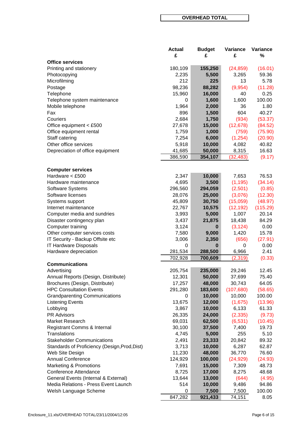#### **OVERHEAD TOTAL**

| £<br>£<br><b>Office services</b><br>180,109<br>155,250<br>Printing and stationery<br>(24, 859)<br>(16.01)<br>2,235<br>Photocopying<br>5,500<br>3,265<br>59.36<br>212<br>225<br>Microfilming<br>13<br>5.78<br>98,236<br>88,282<br>(9,954)<br>(11.28)<br>Postage<br>40<br>Telephone<br>15,960<br>16,000<br>0.25<br>1,600<br>100.00<br>Telephone system maintenance<br>1,600<br>0<br>1,964<br>2,000<br>36<br>1.80<br>Mobile telephone<br>Fax<br>896<br>1,500<br>604<br>40.27<br>2,684<br>(934)<br>Couriers<br>1,750<br>(53.37)<br>27,678<br>(12, 678)<br>Office equipment < £500<br>15,000<br>(84.52)<br>1,759<br>1,000<br>(759)<br>(75.90)<br>Office equipment rental<br>Staff catering<br>7,254<br>6,000<br>(1, 254)<br>(20.90)<br>Other office services<br>5,918<br>10,000<br>40.82<br>4,082<br>Depreciation of office equipment<br>41,685<br>50,000<br>8,315<br>16.63<br>386,590<br>354,107<br>(32, 483)<br>(9.17)<br><b>Computer services</b><br>Hardware < £500<br>2,347<br>10,000<br>7,653<br>76.53<br>3,500<br>(1, 195)<br>Hardware maintenance<br>4,695<br>(34.14)<br>Software Systems<br>296,560<br>294,059<br>(2,501)<br>(0.85)<br>Software licenses<br>28,076<br>25,000<br>(3,076)<br>(12.30)<br>30,750<br>(15,059)<br>(48.97)<br>Systems support<br>45,809<br>Internet maintenance<br>22,767<br>(12, 192)<br>(115.29)<br>10,575<br>Computer media and sundries<br>3,993<br>5,000<br>1,007<br>20.14<br>3,437<br>21,875<br>18,438<br>84.29<br>Disaster contingency plan<br>3,124<br>0.00<br>Computer training<br>(3, 124)<br>$\bf{0}$<br>9,000<br>15.78<br>Other computer services costs<br>7,580<br>1,420<br>IT Security - Backup Offsite etc<br>3,006<br>2,350<br>(27.91)<br>(656)<br>IT Hardware Disposals<br>0.00<br>0<br>0<br>0<br>281,534<br>288,500<br>6,966<br>2.41<br>Hardware depreciation<br>702,928<br>700,609<br>(2,319)<br>(0.33)<br><b>Communications</b><br>235,000<br>12.45<br>Advertising<br>205,754<br>29,246<br>Annual Reports (Design, Distribute)<br>12,301<br>50,000<br>37,699<br>75.40<br>Brochures (Design, Distribute)<br>48,000<br>30,743<br>64.05<br>17,257<br><b>HPC Consultation Events</b><br>291,280<br>183,600<br>(107, 680)<br>(58.65)<br><b>Grandparenting Communications</b><br>10,000<br>10,000<br>100.00<br>0<br><b>Listening Events</b><br>13,675<br>12,000<br>(1,675)<br>(13.96)<br>3,867<br>10,000<br>6,133<br>61.33<br>Lobbying<br><b>PR Advisors</b><br>26,335<br>24,000<br>(2, 335)<br>(9.73)<br>Market Research<br>69,031<br>62,500<br>(6, 531)<br>(10.45)<br>30,100<br>37,500<br>Registrant Comms & Internal<br>7,400<br>19.73<br>255<br>5.10<br><b>Translations</b><br>4,745<br>5,000<br><b>Stakeholder Communications</b><br>23,333<br>20,842<br>89.32<br>2,491<br>Standards of Proficiency (Design, Prod, Dist)<br>3,713<br>10,000<br>6,287<br>62.87<br>48,000<br>36,770<br>76.60<br>Web Site Design<br>11,230<br><b>Annual Conference</b><br>124,929<br>100,000<br>(24, 929)<br>(24.93)<br>Marketing & Promotions<br>7,691<br>15,000<br>7,309<br>48.73<br><b>Conference Attendance</b><br>8,275<br>48.68<br>8,725<br>17,000<br>General Events (Internal & External)<br>(644)<br>13,644<br>13,000<br>(4.95)<br>514<br>Media Relations - Press Event Launch<br>10,000<br>9,486<br>94.86<br>7,500<br>7,500<br>100.00<br>Welsh Language Scheme<br>0<br>847,282<br>8.05<br>921,433<br>74,151 | <b>Actual</b> | <b>Budget</b> | Variance | Variance |
|---------------------------------------------------------------------------------------------------------------------------------------------------------------------------------------------------------------------------------------------------------------------------------------------------------------------------------------------------------------------------------------------------------------------------------------------------------------------------------------------------------------------------------------------------------------------------------------------------------------------------------------------------------------------------------------------------------------------------------------------------------------------------------------------------------------------------------------------------------------------------------------------------------------------------------------------------------------------------------------------------------------------------------------------------------------------------------------------------------------------------------------------------------------------------------------------------------------------------------------------------------------------------------------------------------------------------------------------------------------------------------------------------------------------------------------------------------------------------------------------------------------------------------------------------------------------------------------------------------------------------------------------------------------------------------------------------------------------------------------------------------------------------------------------------------------------------------------------------------------------------------------------------------------------------------------------------------------------------------------------------------------------------------------------------------------------------------------------------------------------------------------------------------------------------------------------------------------------------------------------------------------------------------------------------------------------------------------------------------------------------------------------------------------------------------------------------------------------------------------------------------------------------------------------------------------------------------------------------------------------------------------------------------------------------------------------------------------------------------------------------------------------------------------------------------------------------------------------------------------------------------------------------------------------------------------------------------------------------------------------------------------------------------------------------------------------------------------------------------------------------------------------------------------------------------------------------------------------------------------------------------------------------------------------------------------------------------------------------|---------------|---------------|----------|----------|
|                                                                                                                                                                                                                                                                                                                                                                                                                                                                                                                                                                                                                                                                                                                                                                                                                                                                                                                                                                                                                                                                                                                                                                                                                                                                                                                                                                                                                                                                                                                                                                                                                                                                                                                                                                                                                                                                                                                                                                                                                                                                                                                                                                                                                                                                                                                                                                                                                                                                                                                                                                                                                                                                                                                                                                                                                                                                                                                                                                                                                                                                                                                                                                                                                                                                                                                                                   | £             |               |          | $\%$     |
|                                                                                                                                                                                                                                                                                                                                                                                                                                                                                                                                                                                                                                                                                                                                                                                                                                                                                                                                                                                                                                                                                                                                                                                                                                                                                                                                                                                                                                                                                                                                                                                                                                                                                                                                                                                                                                                                                                                                                                                                                                                                                                                                                                                                                                                                                                                                                                                                                                                                                                                                                                                                                                                                                                                                                                                                                                                                                                                                                                                                                                                                                                                                                                                                                                                                                                                                                   |               |               |          |          |
|                                                                                                                                                                                                                                                                                                                                                                                                                                                                                                                                                                                                                                                                                                                                                                                                                                                                                                                                                                                                                                                                                                                                                                                                                                                                                                                                                                                                                                                                                                                                                                                                                                                                                                                                                                                                                                                                                                                                                                                                                                                                                                                                                                                                                                                                                                                                                                                                                                                                                                                                                                                                                                                                                                                                                                                                                                                                                                                                                                                                                                                                                                                                                                                                                                                                                                                                                   |               |               |          |          |
|                                                                                                                                                                                                                                                                                                                                                                                                                                                                                                                                                                                                                                                                                                                                                                                                                                                                                                                                                                                                                                                                                                                                                                                                                                                                                                                                                                                                                                                                                                                                                                                                                                                                                                                                                                                                                                                                                                                                                                                                                                                                                                                                                                                                                                                                                                                                                                                                                                                                                                                                                                                                                                                                                                                                                                                                                                                                                                                                                                                                                                                                                                                                                                                                                                                                                                                                                   |               |               |          |          |
|                                                                                                                                                                                                                                                                                                                                                                                                                                                                                                                                                                                                                                                                                                                                                                                                                                                                                                                                                                                                                                                                                                                                                                                                                                                                                                                                                                                                                                                                                                                                                                                                                                                                                                                                                                                                                                                                                                                                                                                                                                                                                                                                                                                                                                                                                                                                                                                                                                                                                                                                                                                                                                                                                                                                                                                                                                                                                                                                                                                                                                                                                                                                                                                                                                                                                                                                                   |               |               |          |          |
|                                                                                                                                                                                                                                                                                                                                                                                                                                                                                                                                                                                                                                                                                                                                                                                                                                                                                                                                                                                                                                                                                                                                                                                                                                                                                                                                                                                                                                                                                                                                                                                                                                                                                                                                                                                                                                                                                                                                                                                                                                                                                                                                                                                                                                                                                                                                                                                                                                                                                                                                                                                                                                                                                                                                                                                                                                                                                                                                                                                                                                                                                                                                                                                                                                                                                                                                                   |               |               |          |          |
|                                                                                                                                                                                                                                                                                                                                                                                                                                                                                                                                                                                                                                                                                                                                                                                                                                                                                                                                                                                                                                                                                                                                                                                                                                                                                                                                                                                                                                                                                                                                                                                                                                                                                                                                                                                                                                                                                                                                                                                                                                                                                                                                                                                                                                                                                                                                                                                                                                                                                                                                                                                                                                                                                                                                                                                                                                                                                                                                                                                                                                                                                                                                                                                                                                                                                                                                                   |               |               |          |          |
|                                                                                                                                                                                                                                                                                                                                                                                                                                                                                                                                                                                                                                                                                                                                                                                                                                                                                                                                                                                                                                                                                                                                                                                                                                                                                                                                                                                                                                                                                                                                                                                                                                                                                                                                                                                                                                                                                                                                                                                                                                                                                                                                                                                                                                                                                                                                                                                                                                                                                                                                                                                                                                                                                                                                                                                                                                                                                                                                                                                                                                                                                                                                                                                                                                                                                                                                                   |               |               |          |          |
|                                                                                                                                                                                                                                                                                                                                                                                                                                                                                                                                                                                                                                                                                                                                                                                                                                                                                                                                                                                                                                                                                                                                                                                                                                                                                                                                                                                                                                                                                                                                                                                                                                                                                                                                                                                                                                                                                                                                                                                                                                                                                                                                                                                                                                                                                                                                                                                                                                                                                                                                                                                                                                                                                                                                                                                                                                                                                                                                                                                                                                                                                                                                                                                                                                                                                                                                                   |               |               |          |          |
|                                                                                                                                                                                                                                                                                                                                                                                                                                                                                                                                                                                                                                                                                                                                                                                                                                                                                                                                                                                                                                                                                                                                                                                                                                                                                                                                                                                                                                                                                                                                                                                                                                                                                                                                                                                                                                                                                                                                                                                                                                                                                                                                                                                                                                                                                                                                                                                                                                                                                                                                                                                                                                                                                                                                                                                                                                                                                                                                                                                                                                                                                                                                                                                                                                                                                                                                                   |               |               |          |          |
|                                                                                                                                                                                                                                                                                                                                                                                                                                                                                                                                                                                                                                                                                                                                                                                                                                                                                                                                                                                                                                                                                                                                                                                                                                                                                                                                                                                                                                                                                                                                                                                                                                                                                                                                                                                                                                                                                                                                                                                                                                                                                                                                                                                                                                                                                                                                                                                                                                                                                                                                                                                                                                                                                                                                                                                                                                                                                                                                                                                                                                                                                                                                                                                                                                                                                                                                                   |               |               |          |          |
|                                                                                                                                                                                                                                                                                                                                                                                                                                                                                                                                                                                                                                                                                                                                                                                                                                                                                                                                                                                                                                                                                                                                                                                                                                                                                                                                                                                                                                                                                                                                                                                                                                                                                                                                                                                                                                                                                                                                                                                                                                                                                                                                                                                                                                                                                                                                                                                                                                                                                                                                                                                                                                                                                                                                                                                                                                                                                                                                                                                                                                                                                                                                                                                                                                                                                                                                                   |               |               |          |          |
|                                                                                                                                                                                                                                                                                                                                                                                                                                                                                                                                                                                                                                                                                                                                                                                                                                                                                                                                                                                                                                                                                                                                                                                                                                                                                                                                                                                                                                                                                                                                                                                                                                                                                                                                                                                                                                                                                                                                                                                                                                                                                                                                                                                                                                                                                                                                                                                                                                                                                                                                                                                                                                                                                                                                                                                                                                                                                                                                                                                                                                                                                                                                                                                                                                                                                                                                                   |               |               |          |          |
|                                                                                                                                                                                                                                                                                                                                                                                                                                                                                                                                                                                                                                                                                                                                                                                                                                                                                                                                                                                                                                                                                                                                                                                                                                                                                                                                                                                                                                                                                                                                                                                                                                                                                                                                                                                                                                                                                                                                                                                                                                                                                                                                                                                                                                                                                                                                                                                                                                                                                                                                                                                                                                                                                                                                                                                                                                                                                                                                                                                                                                                                                                                                                                                                                                                                                                                                                   |               |               |          |          |
|                                                                                                                                                                                                                                                                                                                                                                                                                                                                                                                                                                                                                                                                                                                                                                                                                                                                                                                                                                                                                                                                                                                                                                                                                                                                                                                                                                                                                                                                                                                                                                                                                                                                                                                                                                                                                                                                                                                                                                                                                                                                                                                                                                                                                                                                                                                                                                                                                                                                                                                                                                                                                                                                                                                                                                                                                                                                                                                                                                                                                                                                                                                                                                                                                                                                                                                                                   |               |               |          |          |
|                                                                                                                                                                                                                                                                                                                                                                                                                                                                                                                                                                                                                                                                                                                                                                                                                                                                                                                                                                                                                                                                                                                                                                                                                                                                                                                                                                                                                                                                                                                                                                                                                                                                                                                                                                                                                                                                                                                                                                                                                                                                                                                                                                                                                                                                                                                                                                                                                                                                                                                                                                                                                                                                                                                                                                                                                                                                                                                                                                                                                                                                                                                                                                                                                                                                                                                                                   |               |               |          |          |
|                                                                                                                                                                                                                                                                                                                                                                                                                                                                                                                                                                                                                                                                                                                                                                                                                                                                                                                                                                                                                                                                                                                                                                                                                                                                                                                                                                                                                                                                                                                                                                                                                                                                                                                                                                                                                                                                                                                                                                                                                                                                                                                                                                                                                                                                                                                                                                                                                                                                                                                                                                                                                                                                                                                                                                                                                                                                                                                                                                                                                                                                                                                                                                                                                                                                                                                                                   |               |               |          |          |
|                                                                                                                                                                                                                                                                                                                                                                                                                                                                                                                                                                                                                                                                                                                                                                                                                                                                                                                                                                                                                                                                                                                                                                                                                                                                                                                                                                                                                                                                                                                                                                                                                                                                                                                                                                                                                                                                                                                                                                                                                                                                                                                                                                                                                                                                                                                                                                                                                                                                                                                                                                                                                                                                                                                                                                                                                                                                                                                                                                                                                                                                                                                                                                                                                                                                                                                                                   |               |               |          |          |
|                                                                                                                                                                                                                                                                                                                                                                                                                                                                                                                                                                                                                                                                                                                                                                                                                                                                                                                                                                                                                                                                                                                                                                                                                                                                                                                                                                                                                                                                                                                                                                                                                                                                                                                                                                                                                                                                                                                                                                                                                                                                                                                                                                                                                                                                                                                                                                                                                                                                                                                                                                                                                                                                                                                                                                                                                                                                                                                                                                                                                                                                                                                                                                                                                                                                                                                                                   |               |               |          |          |
|                                                                                                                                                                                                                                                                                                                                                                                                                                                                                                                                                                                                                                                                                                                                                                                                                                                                                                                                                                                                                                                                                                                                                                                                                                                                                                                                                                                                                                                                                                                                                                                                                                                                                                                                                                                                                                                                                                                                                                                                                                                                                                                                                                                                                                                                                                                                                                                                                                                                                                                                                                                                                                                                                                                                                                                                                                                                                                                                                                                                                                                                                                                                                                                                                                                                                                                                                   |               |               |          |          |
|                                                                                                                                                                                                                                                                                                                                                                                                                                                                                                                                                                                                                                                                                                                                                                                                                                                                                                                                                                                                                                                                                                                                                                                                                                                                                                                                                                                                                                                                                                                                                                                                                                                                                                                                                                                                                                                                                                                                                                                                                                                                                                                                                                                                                                                                                                                                                                                                                                                                                                                                                                                                                                                                                                                                                                                                                                                                                                                                                                                                                                                                                                                                                                                                                                                                                                                                                   |               |               |          |          |
|                                                                                                                                                                                                                                                                                                                                                                                                                                                                                                                                                                                                                                                                                                                                                                                                                                                                                                                                                                                                                                                                                                                                                                                                                                                                                                                                                                                                                                                                                                                                                                                                                                                                                                                                                                                                                                                                                                                                                                                                                                                                                                                                                                                                                                                                                                                                                                                                                                                                                                                                                                                                                                                                                                                                                                                                                                                                                                                                                                                                                                                                                                                                                                                                                                                                                                                                                   |               |               |          |          |
|                                                                                                                                                                                                                                                                                                                                                                                                                                                                                                                                                                                                                                                                                                                                                                                                                                                                                                                                                                                                                                                                                                                                                                                                                                                                                                                                                                                                                                                                                                                                                                                                                                                                                                                                                                                                                                                                                                                                                                                                                                                                                                                                                                                                                                                                                                                                                                                                                                                                                                                                                                                                                                                                                                                                                                                                                                                                                                                                                                                                                                                                                                                                                                                                                                                                                                                                                   |               |               |          |          |
|                                                                                                                                                                                                                                                                                                                                                                                                                                                                                                                                                                                                                                                                                                                                                                                                                                                                                                                                                                                                                                                                                                                                                                                                                                                                                                                                                                                                                                                                                                                                                                                                                                                                                                                                                                                                                                                                                                                                                                                                                                                                                                                                                                                                                                                                                                                                                                                                                                                                                                                                                                                                                                                                                                                                                                                                                                                                                                                                                                                                                                                                                                                                                                                                                                                                                                                                                   |               |               |          |          |
|                                                                                                                                                                                                                                                                                                                                                                                                                                                                                                                                                                                                                                                                                                                                                                                                                                                                                                                                                                                                                                                                                                                                                                                                                                                                                                                                                                                                                                                                                                                                                                                                                                                                                                                                                                                                                                                                                                                                                                                                                                                                                                                                                                                                                                                                                                                                                                                                                                                                                                                                                                                                                                                                                                                                                                                                                                                                                                                                                                                                                                                                                                                                                                                                                                                                                                                                                   |               |               |          |          |
|                                                                                                                                                                                                                                                                                                                                                                                                                                                                                                                                                                                                                                                                                                                                                                                                                                                                                                                                                                                                                                                                                                                                                                                                                                                                                                                                                                                                                                                                                                                                                                                                                                                                                                                                                                                                                                                                                                                                                                                                                                                                                                                                                                                                                                                                                                                                                                                                                                                                                                                                                                                                                                                                                                                                                                                                                                                                                                                                                                                                                                                                                                                                                                                                                                                                                                                                                   |               |               |          |          |
|                                                                                                                                                                                                                                                                                                                                                                                                                                                                                                                                                                                                                                                                                                                                                                                                                                                                                                                                                                                                                                                                                                                                                                                                                                                                                                                                                                                                                                                                                                                                                                                                                                                                                                                                                                                                                                                                                                                                                                                                                                                                                                                                                                                                                                                                                                                                                                                                                                                                                                                                                                                                                                                                                                                                                                                                                                                                                                                                                                                                                                                                                                                                                                                                                                                                                                                                                   |               |               |          |          |
|                                                                                                                                                                                                                                                                                                                                                                                                                                                                                                                                                                                                                                                                                                                                                                                                                                                                                                                                                                                                                                                                                                                                                                                                                                                                                                                                                                                                                                                                                                                                                                                                                                                                                                                                                                                                                                                                                                                                                                                                                                                                                                                                                                                                                                                                                                                                                                                                                                                                                                                                                                                                                                                                                                                                                                                                                                                                                                                                                                                                                                                                                                                                                                                                                                                                                                                                                   |               |               |          |          |
|                                                                                                                                                                                                                                                                                                                                                                                                                                                                                                                                                                                                                                                                                                                                                                                                                                                                                                                                                                                                                                                                                                                                                                                                                                                                                                                                                                                                                                                                                                                                                                                                                                                                                                                                                                                                                                                                                                                                                                                                                                                                                                                                                                                                                                                                                                                                                                                                                                                                                                                                                                                                                                                                                                                                                                                                                                                                                                                                                                                                                                                                                                                                                                                                                                                                                                                                                   |               |               |          |          |
|                                                                                                                                                                                                                                                                                                                                                                                                                                                                                                                                                                                                                                                                                                                                                                                                                                                                                                                                                                                                                                                                                                                                                                                                                                                                                                                                                                                                                                                                                                                                                                                                                                                                                                                                                                                                                                                                                                                                                                                                                                                                                                                                                                                                                                                                                                                                                                                                                                                                                                                                                                                                                                                                                                                                                                                                                                                                                                                                                                                                                                                                                                                                                                                                                                                                                                                                                   |               |               |          |          |
|                                                                                                                                                                                                                                                                                                                                                                                                                                                                                                                                                                                                                                                                                                                                                                                                                                                                                                                                                                                                                                                                                                                                                                                                                                                                                                                                                                                                                                                                                                                                                                                                                                                                                                                                                                                                                                                                                                                                                                                                                                                                                                                                                                                                                                                                                                                                                                                                                                                                                                                                                                                                                                                                                                                                                                                                                                                                                                                                                                                                                                                                                                                                                                                                                                                                                                                                                   |               |               |          |          |
|                                                                                                                                                                                                                                                                                                                                                                                                                                                                                                                                                                                                                                                                                                                                                                                                                                                                                                                                                                                                                                                                                                                                                                                                                                                                                                                                                                                                                                                                                                                                                                                                                                                                                                                                                                                                                                                                                                                                                                                                                                                                                                                                                                                                                                                                                                                                                                                                                                                                                                                                                                                                                                                                                                                                                                                                                                                                                                                                                                                                                                                                                                                                                                                                                                                                                                                                                   |               |               |          |          |
|                                                                                                                                                                                                                                                                                                                                                                                                                                                                                                                                                                                                                                                                                                                                                                                                                                                                                                                                                                                                                                                                                                                                                                                                                                                                                                                                                                                                                                                                                                                                                                                                                                                                                                                                                                                                                                                                                                                                                                                                                                                                                                                                                                                                                                                                                                                                                                                                                                                                                                                                                                                                                                                                                                                                                                                                                                                                                                                                                                                                                                                                                                                                                                                                                                                                                                                                                   |               |               |          |          |
|                                                                                                                                                                                                                                                                                                                                                                                                                                                                                                                                                                                                                                                                                                                                                                                                                                                                                                                                                                                                                                                                                                                                                                                                                                                                                                                                                                                                                                                                                                                                                                                                                                                                                                                                                                                                                                                                                                                                                                                                                                                                                                                                                                                                                                                                                                                                                                                                                                                                                                                                                                                                                                                                                                                                                                                                                                                                                                                                                                                                                                                                                                                                                                                                                                                                                                                                                   |               |               |          |          |
|                                                                                                                                                                                                                                                                                                                                                                                                                                                                                                                                                                                                                                                                                                                                                                                                                                                                                                                                                                                                                                                                                                                                                                                                                                                                                                                                                                                                                                                                                                                                                                                                                                                                                                                                                                                                                                                                                                                                                                                                                                                                                                                                                                                                                                                                                                                                                                                                                                                                                                                                                                                                                                                                                                                                                                                                                                                                                                                                                                                                                                                                                                                                                                                                                                                                                                                                                   |               |               |          |          |
|                                                                                                                                                                                                                                                                                                                                                                                                                                                                                                                                                                                                                                                                                                                                                                                                                                                                                                                                                                                                                                                                                                                                                                                                                                                                                                                                                                                                                                                                                                                                                                                                                                                                                                                                                                                                                                                                                                                                                                                                                                                                                                                                                                                                                                                                                                                                                                                                                                                                                                                                                                                                                                                                                                                                                                                                                                                                                                                                                                                                                                                                                                                                                                                                                                                                                                                                                   |               |               |          |          |
|                                                                                                                                                                                                                                                                                                                                                                                                                                                                                                                                                                                                                                                                                                                                                                                                                                                                                                                                                                                                                                                                                                                                                                                                                                                                                                                                                                                                                                                                                                                                                                                                                                                                                                                                                                                                                                                                                                                                                                                                                                                                                                                                                                                                                                                                                                                                                                                                                                                                                                                                                                                                                                                                                                                                                                                                                                                                                                                                                                                                                                                                                                                                                                                                                                                                                                                                                   |               |               |          |          |
|                                                                                                                                                                                                                                                                                                                                                                                                                                                                                                                                                                                                                                                                                                                                                                                                                                                                                                                                                                                                                                                                                                                                                                                                                                                                                                                                                                                                                                                                                                                                                                                                                                                                                                                                                                                                                                                                                                                                                                                                                                                                                                                                                                                                                                                                                                                                                                                                                                                                                                                                                                                                                                                                                                                                                                                                                                                                                                                                                                                                                                                                                                                                                                                                                                                                                                                                                   |               |               |          |          |
|                                                                                                                                                                                                                                                                                                                                                                                                                                                                                                                                                                                                                                                                                                                                                                                                                                                                                                                                                                                                                                                                                                                                                                                                                                                                                                                                                                                                                                                                                                                                                                                                                                                                                                                                                                                                                                                                                                                                                                                                                                                                                                                                                                                                                                                                                                                                                                                                                                                                                                                                                                                                                                                                                                                                                                                                                                                                                                                                                                                                                                                                                                                                                                                                                                                                                                                                                   |               |               |          |          |
|                                                                                                                                                                                                                                                                                                                                                                                                                                                                                                                                                                                                                                                                                                                                                                                                                                                                                                                                                                                                                                                                                                                                                                                                                                                                                                                                                                                                                                                                                                                                                                                                                                                                                                                                                                                                                                                                                                                                                                                                                                                                                                                                                                                                                                                                                                                                                                                                                                                                                                                                                                                                                                                                                                                                                                                                                                                                                                                                                                                                                                                                                                                                                                                                                                                                                                                                                   |               |               |          |          |
|                                                                                                                                                                                                                                                                                                                                                                                                                                                                                                                                                                                                                                                                                                                                                                                                                                                                                                                                                                                                                                                                                                                                                                                                                                                                                                                                                                                                                                                                                                                                                                                                                                                                                                                                                                                                                                                                                                                                                                                                                                                                                                                                                                                                                                                                                                                                                                                                                                                                                                                                                                                                                                                                                                                                                                                                                                                                                                                                                                                                                                                                                                                                                                                                                                                                                                                                                   |               |               |          |          |
|                                                                                                                                                                                                                                                                                                                                                                                                                                                                                                                                                                                                                                                                                                                                                                                                                                                                                                                                                                                                                                                                                                                                                                                                                                                                                                                                                                                                                                                                                                                                                                                                                                                                                                                                                                                                                                                                                                                                                                                                                                                                                                                                                                                                                                                                                                                                                                                                                                                                                                                                                                                                                                                                                                                                                                                                                                                                                                                                                                                                                                                                                                                                                                                                                                                                                                                                                   |               |               |          |          |
|                                                                                                                                                                                                                                                                                                                                                                                                                                                                                                                                                                                                                                                                                                                                                                                                                                                                                                                                                                                                                                                                                                                                                                                                                                                                                                                                                                                                                                                                                                                                                                                                                                                                                                                                                                                                                                                                                                                                                                                                                                                                                                                                                                                                                                                                                                                                                                                                                                                                                                                                                                                                                                                                                                                                                                                                                                                                                                                                                                                                                                                                                                                                                                                                                                                                                                                                                   |               |               |          |          |
|                                                                                                                                                                                                                                                                                                                                                                                                                                                                                                                                                                                                                                                                                                                                                                                                                                                                                                                                                                                                                                                                                                                                                                                                                                                                                                                                                                                                                                                                                                                                                                                                                                                                                                                                                                                                                                                                                                                                                                                                                                                                                                                                                                                                                                                                                                                                                                                                                                                                                                                                                                                                                                                                                                                                                                                                                                                                                                                                                                                                                                                                                                                                                                                                                                                                                                                                                   |               |               |          |          |
|                                                                                                                                                                                                                                                                                                                                                                                                                                                                                                                                                                                                                                                                                                                                                                                                                                                                                                                                                                                                                                                                                                                                                                                                                                                                                                                                                                                                                                                                                                                                                                                                                                                                                                                                                                                                                                                                                                                                                                                                                                                                                                                                                                                                                                                                                                                                                                                                                                                                                                                                                                                                                                                                                                                                                                                                                                                                                                                                                                                                                                                                                                                                                                                                                                                                                                                                                   |               |               |          |          |
|                                                                                                                                                                                                                                                                                                                                                                                                                                                                                                                                                                                                                                                                                                                                                                                                                                                                                                                                                                                                                                                                                                                                                                                                                                                                                                                                                                                                                                                                                                                                                                                                                                                                                                                                                                                                                                                                                                                                                                                                                                                                                                                                                                                                                                                                                                                                                                                                                                                                                                                                                                                                                                                                                                                                                                                                                                                                                                                                                                                                                                                                                                                                                                                                                                                                                                                                                   |               |               |          |          |
|                                                                                                                                                                                                                                                                                                                                                                                                                                                                                                                                                                                                                                                                                                                                                                                                                                                                                                                                                                                                                                                                                                                                                                                                                                                                                                                                                                                                                                                                                                                                                                                                                                                                                                                                                                                                                                                                                                                                                                                                                                                                                                                                                                                                                                                                                                                                                                                                                                                                                                                                                                                                                                                                                                                                                                                                                                                                                                                                                                                                                                                                                                                                                                                                                                                                                                                                                   |               |               |          |          |
|                                                                                                                                                                                                                                                                                                                                                                                                                                                                                                                                                                                                                                                                                                                                                                                                                                                                                                                                                                                                                                                                                                                                                                                                                                                                                                                                                                                                                                                                                                                                                                                                                                                                                                                                                                                                                                                                                                                                                                                                                                                                                                                                                                                                                                                                                                                                                                                                                                                                                                                                                                                                                                                                                                                                                                                                                                                                                                                                                                                                                                                                                                                                                                                                                                                                                                                                                   |               |               |          |          |
|                                                                                                                                                                                                                                                                                                                                                                                                                                                                                                                                                                                                                                                                                                                                                                                                                                                                                                                                                                                                                                                                                                                                                                                                                                                                                                                                                                                                                                                                                                                                                                                                                                                                                                                                                                                                                                                                                                                                                                                                                                                                                                                                                                                                                                                                                                                                                                                                                                                                                                                                                                                                                                                                                                                                                                                                                                                                                                                                                                                                                                                                                                                                                                                                                                                                                                                                                   |               |               |          |          |
|                                                                                                                                                                                                                                                                                                                                                                                                                                                                                                                                                                                                                                                                                                                                                                                                                                                                                                                                                                                                                                                                                                                                                                                                                                                                                                                                                                                                                                                                                                                                                                                                                                                                                                                                                                                                                                                                                                                                                                                                                                                                                                                                                                                                                                                                                                                                                                                                                                                                                                                                                                                                                                                                                                                                                                                                                                                                                                                                                                                                                                                                                                                                                                                                                                                                                                                                                   |               |               |          |          |
|                                                                                                                                                                                                                                                                                                                                                                                                                                                                                                                                                                                                                                                                                                                                                                                                                                                                                                                                                                                                                                                                                                                                                                                                                                                                                                                                                                                                                                                                                                                                                                                                                                                                                                                                                                                                                                                                                                                                                                                                                                                                                                                                                                                                                                                                                                                                                                                                                                                                                                                                                                                                                                                                                                                                                                                                                                                                                                                                                                                                                                                                                                                                                                                                                                                                                                                                                   |               |               |          |          |
|                                                                                                                                                                                                                                                                                                                                                                                                                                                                                                                                                                                                                                                                                                                                                                                                                                                                                                                                                                                                                                                                                                                                                                                                                                                                                                                                                                                                                                                                                                                                                                                                                                                                                                                                                                                                                                                                                                                                                                                                                                                                                                                                                                                                                                                                                                                                                                                                                                                                                                                                                                                                                                                                                                                                                                                                                                                                                                                                                                                                                                                                                                                                                                                                                                                                                                                                                   |               |               |          |          |
|                                                                                                                                                                                                                                                                                                                                                                                                                                                                                                                                                                                                                                                                                                                                                                                                                                                                                                                                                                                                                                                                                                                                                                                                                                                                                                                                                                                                                                                                                                                                                                                                                                                                                                                                                                                                                                                                                                                                                                                                                                                                                                                                                                                                                                                                                                                                                                                                                                                                                                                                                                                                                                                                                                                                                                                                                                                                                                                                                                                                                                                                                                                                                                                                                                                                                                                                                   |               |               |          |          |
|                                                                                                                                                                                                                                                                                                                                                                                                                                                                                                                                                                                                                                                                                                                                                                                                                                                                                                                                                                                                                                                                                                                                                                                                                                                                                                                                                                                                                                                                                                                                                                                                                                                                                                                                                                                                                                                                                                                                                                                                                                                                                                                                                                                                                                                                                                                                                                                                                                                                                                                                                                                                                                                                                                                                                                                                                                                                                                                                                                                                                                                                                                                                                                                                                                                                                                                                                   |               |               |          |          |
|                                                                                                                                                                                                                                                                                                                                                                                                                                                                                                                                                                                                                                                                                                                                                                                                                                                                                                                                                                                                                                                                                                                                                                                                                                                                                                                                                                                                                                                                                                                                                                                                                                                                                                                                                                                                                                                                                                                                                                                                                                                                                                                                                                                                                                                                                                                                                                                                                                                                                                                                                                                                                                                                                                                                                                                                                                                                                                                                                                                                                                                                                                                                                                                                                                                                                                                                                   |               |               |          |          |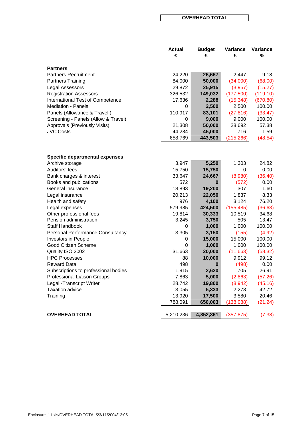#### **OVERHEAD TOTAL**

|                                         | <b>Actual</b> | <b>Budget</b> | Variance   | Variance |
|-----------------------------------------|---------------|---------------|------------|----------|
|                                         | £             | £             | £          | %        |
| <b>Partners</b>                         |               |               |            |          |
| <b>Partners Recruitment</b>             | 24,220        | 26,667        | 2,447      | 9.18     |
| <b>Partners Training</b>                | 84,000        | 50,000        | (34,000)   | (68.00)  |
| Legal Assessors                         | 29,872        | 25,915        | (3,957)    | (15.27)  |
| <b>Registration Assessors</b>           | 326,532       | 149,032       | (177,500)  | (119.10) |
| <b>International Test of Competence</b> | 17,636        | 2,288         | (15, 348)  | (670.80) |
| <b>Mediation - Panels</b>               | 0             | 2,500         | 2,500      | 100.00   |
| Panels (Allowance & Travel)             | 110,917       | 83,101        | (27, 816)  | (33.47)  |
| Screening - Panels (Allow & Travel)     | 0             | 9,000         | 9,000      | 100.00   |
| Approvals (Previously Visits)           | 21,308        | 50,000        | 28,692     | 57.38    |
| <b>JVC Costs</b>                        | 44,284        | 45,000        | 716        | 1.59     |
|                                         | 658,769       | 443,503       | (215, 266) | (48.54)  |
|                                         |               |               |            |          |
| <b>Specific departmental expenses</b>   |               |               |            |          |
| Archive storage                         | 3,947         | 5,250         | 1,303      | 24.82    |
| Auditors' fees                          | 15,750        | 15,750        | 0          | 0.00     |
| Bank charges & interest                 | 33,647        | 24,667        | (8,980)    | (36.40)  |
| Books and publications                  | 572           | 0             | (572)      | 0.00     |
| General insurance                       | 18,893        | 19,200        | 307        | 1.60     |
| Legal insurance                         | 20,213        | 22,050        | 1,837      | 8.33     |
| Health and safety                       | 976           | 4,100         | 3,124      | 76.20    |
| Legal expenses                          | 579,985       | 424,500       | (155, 485) | (36.63)  |
| Other professional fees                 | 19,814        | 30,333        | 10,519     | 34.68    |
| Pension administration                  | 3,245         | 3,750         | 505        | 13.47    |
| Staff Handbook                          | 0             | 1,000         | 1,000      | 100.00   |
| <b>Personal Performance Consultancy</b> | 3,305         | 3,150         | (155)      | (4.92)   |
| Investors in People                     | 0             | 15,000        | 15,000     | 100.00   |
| Good Citizen Scheme                     | 0             | 1,000         | 1,000      | 100.00   |
| Quality ISO 2002                        | 31,663        | 20,000        | (11,663)   | (58.32)  |
| <b>HPC Processes</b>                    | 88            | 10,000        | 9,912      | 99.12    |
| <b>Reward Data</b>                      | 498           | 0             | (498)      | 0.00     |
| Subscriptions to professional bodies    | 1,915         | 2,620         | 705        | 26.91    |
| Professional Liaison Groups             | 7,863         | 5,000         | (2,863)    | (57.26)  |
| Legal -Transcript Writer                | 28,742        | 19,800        | (8,942)    | (45.16)  |
| <b>Taxation advice</b>                  | 3,055         | 5,333         | 2,278      | 42.72    |
| Training                                | 13,920        | 17,500        | 3,580      | 20.46    |
|                                         | 788,091       | 650,003       | (138, 088) | (21.24)  |
| <b>OVERHEAD TOTAL</b>                   | 5,210,236     | 4,852,361     | (357, 875) | (7.38)   |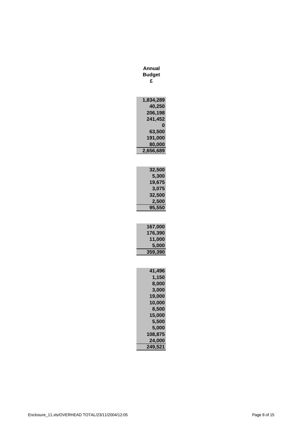| Annual<br><b>Budget</b><br>£                                                                                                             |
|------------------------------------------------------------------------------------------------------------------------------------------|
| 1,834,289<br>40,250<br>206,198<br>241,452<br>0<br>63,500<br>191,000<br>80,000<br>2,656,689                                               |
| 32,500<br>5,300<br>19,675<br>3,075<br>32,500<br>2,500<br>95,550                                                                          |
| 167,000<br>176,390<br>11,000<br>5,000<br>359,390                                                                                         |
| 41,496<br>1,150<br>8,000<br>3,0<br>19,000<br>10,000<br>8,500<br>15,000<br>5,500<br>5,000<br>108,875<br>24,000<br>249,5<br>2 <sup>1</sup> |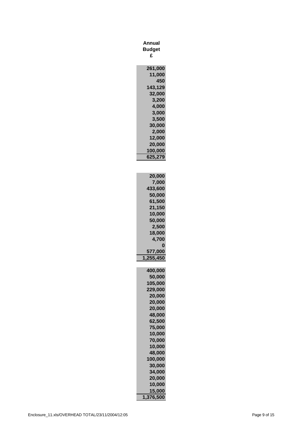| Annual<br>Budget<br>£                                                                                                                                                                |
|--------------------------------------------------------------------------------------------------------------------------------------------------------------------------------------|
| 261,000<br>11,000<br>450<br>143,129<br>32,000<br>3,200<br>4,000<br>3,000<br>3,500<br>30,000<br>2,000<br>12,000<br>20,000<br>100,000<br>625,279                                       |
| 20,000<br>7,000<br>433,600<br>50,000<br>61,500<br>21,150<br>10,000<br>50,000<br>2,500<br>18,000<br>4,700<br>0<br>77,000<br>55,450                                                    |
| 400,000<br>50,000<br>105,000<br>229,000<br>20,000<br>20,000<br>20,000<br>48,000<br>62,500<br>75,000<br>10,000<br>70,000<br>10,000<br>48,000<br>100,000<br>30,000<br>34,000<br>20,000 |
| 10,000<br>15,000<br>1,376,500                                                                                                                                                        |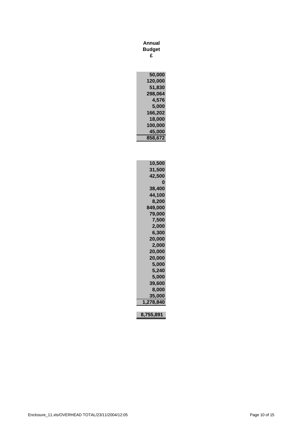| Annual        |
|---------------|
| <b>Budget</b> |
| £             |

| 50,000  |
|---------|
| 120,000 |
| 51,830  |
| 298,064 |
| 4,576   |
| 5,000   |
| 166,202 |
| 18,000  |
| 100,000 |
|         |
| 45,000  |
| 858,672 |

| 10,500    |
|-----------|
| 31,500    |
| 42,500    |
| O         |
| 38,400    |
| 44,100    |
|           |
| 8,200     |
| 849,000   |
| 79,000    |
| 7,500     |
| 2,000     |
| 6,300     |
| 20,000    |
| 2,000     |
| 20,000    |
| 20,000    |
|           |
| 5,000     |
| 5,240     |
| 5,000     |
| 39,600    |
| 8,000     |
| 35,000    |
| 1,278,840 |
|           |
| 8,755,891 |

Enclosure\_11.xls/OVERHEAD TOTAL/23/11/2004/12:05 Page 10 of 15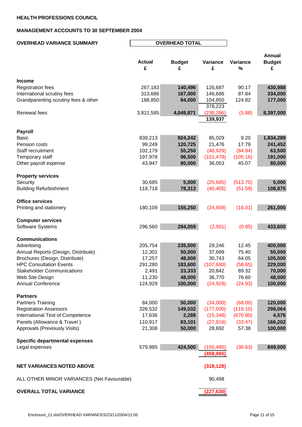## **MANAGEMENT ACCOUNTS TO 30 SEPTEMBER 2004**

| <b>OVERHEAD VARIANCE SUMMARY</b>           |               | <b>OVERHEAD TOTAL</b> |            |          |               |  |
|--------------------------------------------|---------------|-----------------------|------------|----------|---------------|--|
|                                            |               |                       |            |          |               |  |
|                                            |               |                       |            |          | <b>Annual</b> |  |
|                                            | <b>Actual</b> | <b>Budget</b>         | Variance   | Variance | <b>Budget</b> |  |
|                                            | £             | £                     | £          | %        | £             |  |
|                                            |               |                       |            |          |               |  |
| <b>Income</b>                              |               |                       |            |          |               |  |
| <b>Registration fees</b>                   | 267,183       | 140,496               | 126,687    | 90.17    | 430,988       |  |
| International scrutiny fees                | 313,686       | 167,000               | 146,686    | 87.84    | 334,000       |  |
| Grandparenting scrutiny fees & other       | 188,850       | 84,000                | 104,850    | 124.82   | 177,000       |  |
|                                            |               |                       | 378,223    |          |               |  |
|                                            |               |                       |            |          |               |  |
| Renewal fees                               | 3,811,585     | 4,049,871             | (238, 286) | (5.88)   | 8,397,000     |  |
|                                            |               |                       | 139,937    |          |               |  |
|                                            |               |                       |            |          |               |  |
| <b>Payroll</b>                             |               |                       |            |          |               |  |
| <b>Basic</b>                               | 839,213       | 924,242               | 85,029     | 9.20     | 1,834,289     |  |
| Pension costs                              | 99,249        | 120,725               | 21,476     | 17.79    | 241,452       |  |
| Staff recruitment                          | 102,179       | 55,250                | (46, 929)  | (84.94)  | 63,500        |  |
| Temporary staff                            | 197,978       | 96,500                | (101, 478) | (105.16) | 191,000       |  |
| Other payroll expense                      | 43,947        | 80,000                | 36,053     | 45.07    | 80,000        |  |
|                                            |               |                       |            |          |               |  |
| <b>Property services</b>                   |               |                       |            |          |               |  |
| Security                                   | 30,685        | 5,000                 | (25,685)   | (513.70) | 5,000         |  |
| <b>Building Refurbishment</b>              | 118,718       | 78,313                | (40, 405)  | (51.59)  | 108,875       |  |
|                                            |               |                       |            |          |               |  |
|                                            |               |                       |            |          |               |  |
| <b>Office services</b>                     |               |                       |            |          |               |  |
| Printing and stationery                    | 180,109       | 155,250               | (24, 859)  | (16.01)  | 261,000       |  |
|                                            |               |                       |            |          |               |  |
| <b>Computer services</b>                   |               |                       |            |          |               |  |
| Software Systems                           | 296,560       | 294,059               | (2,501)    | (0.85)   | 433,600       |  |
|                                            |               |                       |            |          |               |  |
| <b>Communications</b>                      |               |                       |            |          |               |  |
| Advertising                                | 205,754       | 235,000               | 29,246     | 12.45    | 400,000       |  |
| Annual Reports (Design, Distribute)        | 12,301        | 50,000                | 37,699     | 75.40    | 50,000        |  |
| Brochures (Design, Distribute)             | 17,257        | 48,000                | 30,743     | 64.05    | 105,000       |  |
| <b>HPC Consultation Events</b>             | 291,280       | 183,600               | (107, 680) | (58.65)  | 229,000       |  |
| <b>Stakeholder Communications</b>          | 2,491         | 23,333                | 20,842     | 89.32    | 70,000        |  |
| Web Site Design                            | 11,230        | 48,000                | 36,770     | 76.60    | 48,000        |  |
| <b>Annual Conference</b>                   | 124,929       | 100,000               | (24, 929)  | (24.93)  | 100,000       |  |
|                                            |               |                       |            |          |               |  |
| <b>Partners</b>                            |               |                       |            |          |               |  |
|                                            |               |                       |            |          |               |  |
| <b>Partners Training</b>                   | 84,000        | 50,000                | (34,000)   | (68.00)  | 120,000       |  |
| <b>Registration Assessors</b>              | 326,532       | 149,032               | (177,500)  | (119.10) | 298,064       |  |
| International Test of Competence           | 17,636        | 2,288                 | (15, 348)  | (670.80) | 4,576         |  |
| Panels (Allowance & Travel)                | 110,917       | 83,101                | (27, 816)  | (33.47)  | 166,202       |  |
| Approvals (Previously Visits)              | 21,308        | 50,000                | 28,692     | 57.38    | 100,000       |  |
|                                            |               |                       |            |          |               |  |
| <b>Specific departmental expenses</b>      |               |                       |            |          |               |  |
| Legal expenses                             | 579,985       | 424,500               | (155, 485) | (36.63)  | 849,000       |  |
|                                            |               |                       | (458,065)  |          |               |  |
|                                            |               |                       |            |          |               |  |
| <b>NET VARIANCES NOTED ABOVE</b>           |               |                       | (318, 128) |          |               |  |
|                                            |               |                       |            |          |               |  |
| ALL OTHER MINOR VARIANCES (Net Favourable) |               |                       | 90,498     |          |               |  |
|                                            |               |                       |            |          |               |  |
| <b>OVERALL TOTAL VARIANCE</b>              |               |                       | (227, 630) |          |               |  |
|                                            |               |                       |            |          |               |  |